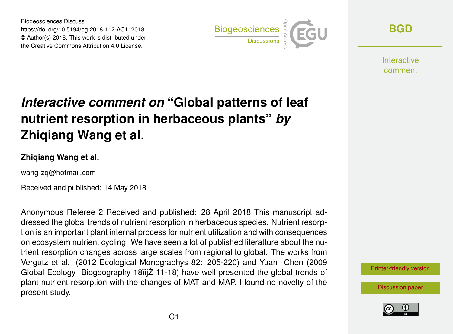Biogeosciences Discuss., https://doi.org/10.5194/bg-2018-112-AC1, 2018 © Author(s) 2018. This work is distributed under the Creative Commons Attribution 4.0 License.



**[BGD](https://www.biogeosciences-discuss.net/)**

Interactive comment

## *Interactive comment on* **"Global patterns of leaf nutrient resorption in herbaceous plants"** *by* **Zhiqiang Wang et al.**

## **Zhiqiang Wang et al.**

wang-zq@hotmail.com

Received and published: 14 May 2018

Anonymous Referee 2 Received and published: 28 April 2018 This manuscript addressed the global trends of nutrient resorption in herbaceous species. Nutrient resorption is an important plant internal process for nutrient utilization and with consequences on ecosystem nutrient cycling. We have seen a lot of published literatture about the nutrient resorption changes across large scales from regional to global. The works from Vergutz et al. (2012 Ecological Monographys 82: 205-220) and Yuan Chen (2009 Global Ecology Biogeography 18ïijŽ 11-18) have well presented the global trends of plant nutrient resorption with the changes of MAT and MAP. I found no novelty of the present study.

[Printer-friendly version](https://www.biogeosciences-discuss.net/bg-2018-112/bg-2018-112-AC1-print.pdf)

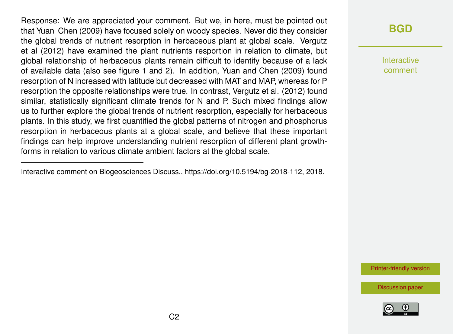Response: We are appreciated your comment. But we, in here, must be pointed out that Yuan Chen (2009) have focused solely on woody species. Never did they consider the global trends of nutrient resorption in herbaceous plant at global scale. Vergutz et al (2012) have examined the plant nutrients resportion in relation to climate, but global relationship of herbaceous plants remain difficult to identify because of a lack of available data (also see figure 1 and 2). In addition, Yuan and Chen (2009) found resorption of N increased with latitude but decreased with MAT and MAP, whereas for P resorption the opposite relationships were true. In contrast, Vergutz et al. (2012) found similar, statistically significant climate trends for N and P. Such mixed findings allow us to further explore the global trends of nutrient resorption, especially for herbaceous plants. In this study, we first quantified the global patterns of nitrogen and phosphorus resorption in herbaceous plants at a global scale, and believe that these important findings can help improve understanding nutrient resorption of different plant growthforms in relation to various climate ambient factors at the global scale.

Interactive comment on Biogeosciences Discuss., https://doi.org/10.5194/bg-2018-112, 2018.

## **[BGD](https://www.biogeosciences-discuss.net/)**

Interactive comment

[Printer-friendly version](https://www.biogeosciences-discuss.net/bg-2018-112/bg-2018-112-AC1-print.pdf)

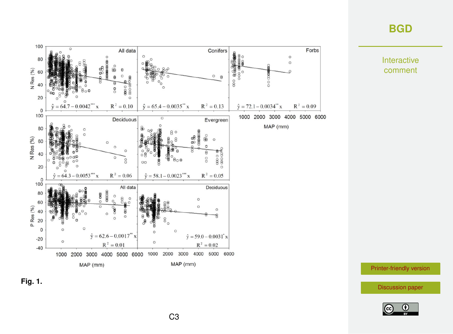## **[BGD](https://www.biogeosciences-discuss.net/)**

Interactive comment





[Printer-friendly version](https://www.biogeosciences-discuss.net/bg-2018-112/bg-2018-112-AC1-print.pdf)